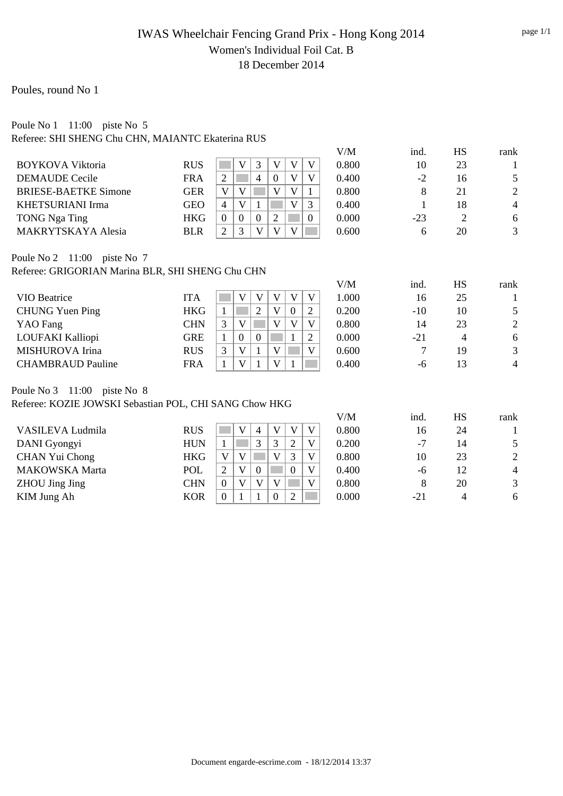## IWAS Wheelchair Fencing Grand Prix - Hong Kong 2014 Women's Individual Foil Cat. B 18 December 2014

## Poules, round No 1

#### Poule No 1 11:00 piste No 5 Referee: SHI SHENG Chu CHN, MAIANTC Ekaterina RUS

|            |   |   |   |  |   | V/M   | ind.  | HS | rank           |
|------------|---|---|---|--|---|-------|-------|----|----------------|
| <b>RUS</b> |   |   |   |  | V | 0.800 | 10    | 23 |                |
| <b>FRA</b> |   |   | 4 |  | V | 0.400 | $-2$  | 16 | 5              |
| GER        | V |   |   |  |   | 0.800 |       | 21 | $\overline{2}$ |
| GEO        | 4 | V |   |  | ⌒ | 0.400 |       | 18 | 4              |
| HKG        |   |   |   |  | 0 | 0.000 | $-23$ |    | 6              |
| <b>BLR</b> |   |   |   |  |   | 0.600 |       | 20 | 3              |
|            |   |   |   |  |   |       |       |    |                |

Poule No 2 11:00 piste No 7 Referee: GRIGORIAN Marina BLR, SHI SHENG Chu CHN

|                          |            |              |   |          |   |                                      | V/M   | ind.  | HS | rank |
|--------------------------|------------|--------------|---|----------|---|--------------------------------------|-------|-------|----|------|
| VIO Beatrice             | ITA        |              | V |          |   | V                                    | 1.000 | 16    | 25 |      |
| <b>CHUNG Yuen Ping</b>   | <b>HKG</b> |              |   |          | W | $\gamma$                             | 0.200 | $-10$ | 10 | 5    |
| YAO Fang                 | CHN        | 2            |   |          |   | $\mathbf{V}$                         | 0.800 | 14    | 23 | 2    |
| LOUFAKI Kalliopi         | GRE        |              |   | $\theta$ |   | $\gamma$<br>$\overline{\phantom{0}}$ | 0.000 | -21   | 4  | 6    |
| MISHUROVA Irina          | <b>RUS</b> | $\mathbf{c}$ | V |          |   | V                                    | 0.600 | ⇁     | 19 | 3    |
| <b>CHAMBRAUD Pauline</b> | FRA        |              | V |          |   |                                      | 0.400 | -6    | 13 | 4    |

Poule No 3 11:00 piste No 8

Referee: KOZIE JOWSKI Sebastian POL, CHI SANG Chow HKG

|                       |            |          |              |                |              | V/M   | ind.  | HS | rank           |
|-----------------------|------------|----------|--------------|----------------|--------------|-------|-------|----|----------------|
| VASILEVA Ludmila      | <b>RUS</b> |          | 4            |                | V            | 0.800 | 16    | 24 |                |
| DANI Gyongyi          | <b>HUN</b> |          | 3            |                | V            | 0.200 | $-7$  | 14 |                |
| CHAN Yui Chong        | <b>HKG</b> |          |              |                | $\mathbf{V}$ | 0.800 | 10    | 23 | $\overline{2}$ |
| <b>MAKOWSKA Marta</b> | POL        | ◠        | $\Omega$     |                | V            | 0.400 | -6    | 12 | $\overline{4}$ |
| <b>ZHOU Jing Jing</b> | CHN        |          | $\mathbf{V}$ |                | V            | 0.800 |       | 20 | 3              |
| KIM Jung Ah           | KOR        | $\Omega$ |              | $\overline{2}$ |              | 0.000 | $-21$ | 4  | 6              |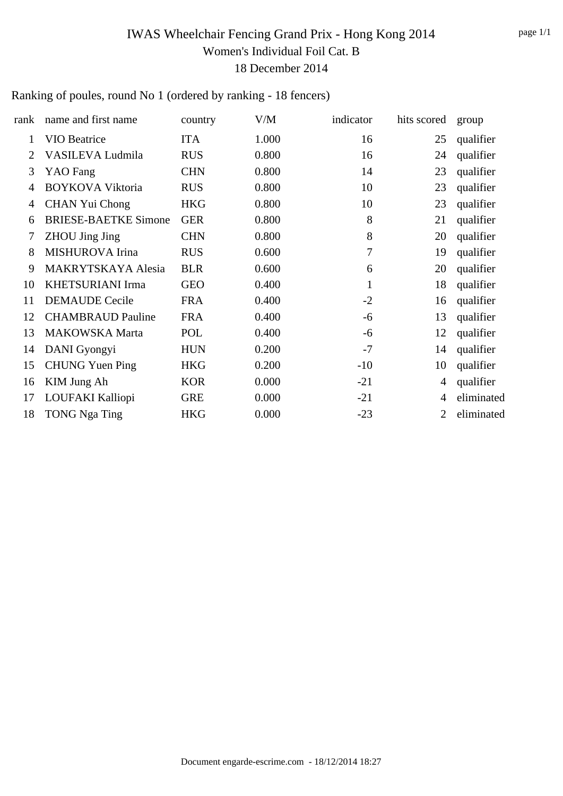# IWAS Wheelchair Fencing Grand Prix - Hong Kong 2014 Women's Individual Foil Cat. B 18 December 2014

## Ranking of poules, round No 1 (ordered by ranking - 18 fencers)

| rank           | name and first name         | country    | V/M   | indicator    | hits scored | group      |
|----------------|-----------------------------|------------|-------|--------------|-------------|------------|
| 1              | <b>VIO Beatrice</b>         | <b>ITA</b> | 1.000 | 16           | 25          | qualifier  |
| $\overline{2}$ | VASILEVA Ludmila            | <b>RUS</b> | 0.800 | 16           | 24          | qualifier  |
| 3              | <b>YAO</b> Fang             | <b>CHN</b> | 0.800 | 14           | 23          | qualifier  |
| 4              | <b>BOYKOVA Viktoria</b>     | <b>RUS</b> | 0.800 | 10           | 23          | qualifier  |
| 4              | <b>CHAN Yui Chong</b>       | <b>HKG</b> | 0.800 | 10           | 23          | qualifier  |
| 6              | <b>BRIESE-BAETKE Simone</b> | <b>GER</b> | 0.800 | 8            | 21          | qualifier  |
| 7              | <b>ZHOU Jing Jing</b>       | <b>CHN</b> | 0.800 | $8\,$        | 20          | qualifier  |
| 8              | MISHUROVA Irina             | <b>RUS</b> | 0.600 | 7            | 19          | qualifier  |
| 9              | <b>MAKRYTSKAYA Alesia</b>   | <b>BLR</b> | 0.600 | 6            | 20          | qualifier  |
| 10             | <b>KHETSURIANI Irma</b>     | <b>GEO</b> | 0.400 | $\mathbf{1}$ | 18          | qualifier  |
| 11             | <b>DEMAUDE</b> Cecile       | <b>FRA</b> | 0.400 | $-2$         | 16          | qualifier  |
| 12             | <b>CHAMBRAUD Pauline</b>    | <b>FRA</b> | 0.400 | $-6$         | 13          | qualifier  |
| 13             | <b>MAKOWSKA Marta</b>       | POL        | 0.400 | $-6$         | 12          | qualifier  |
| 14             | DANI Gyongyi                | <b>HUN</b> | 0.200 | $-7$         | 14          | qualifier  |
| 15             | <b>CHUNG Yuen Ping</b>      | <b>HKG</b> | 0.200 | $-10$        | 10          | qualifier  |
| 16             | KIM Jung Ah                 | <b>KOR</b> | 0.000 | $-21$        | 4           | qualifier  |
| 17             | LOUFAKI Kalliopi            | <b>GRE</b> | 0.000 | $-21$        | 4           | eliminated |
| 18             | <b>TONG Nga Ting</b>        | <b>HKG</b> | 0.000 | $-23$        | 2           | eliminated |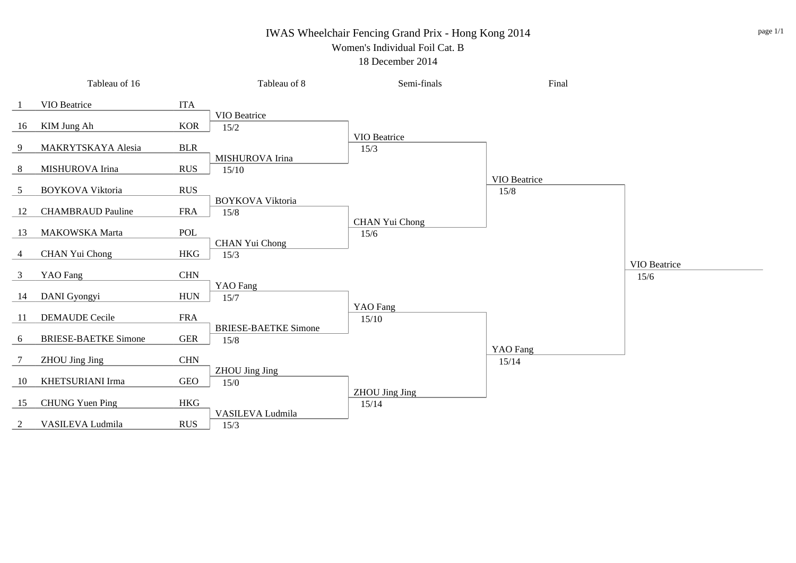### IWAS Wheelchair Fencing Grand Prix - Hong Kong 2014 Women's Individual Foil Cat. B

#### 18 December 2014